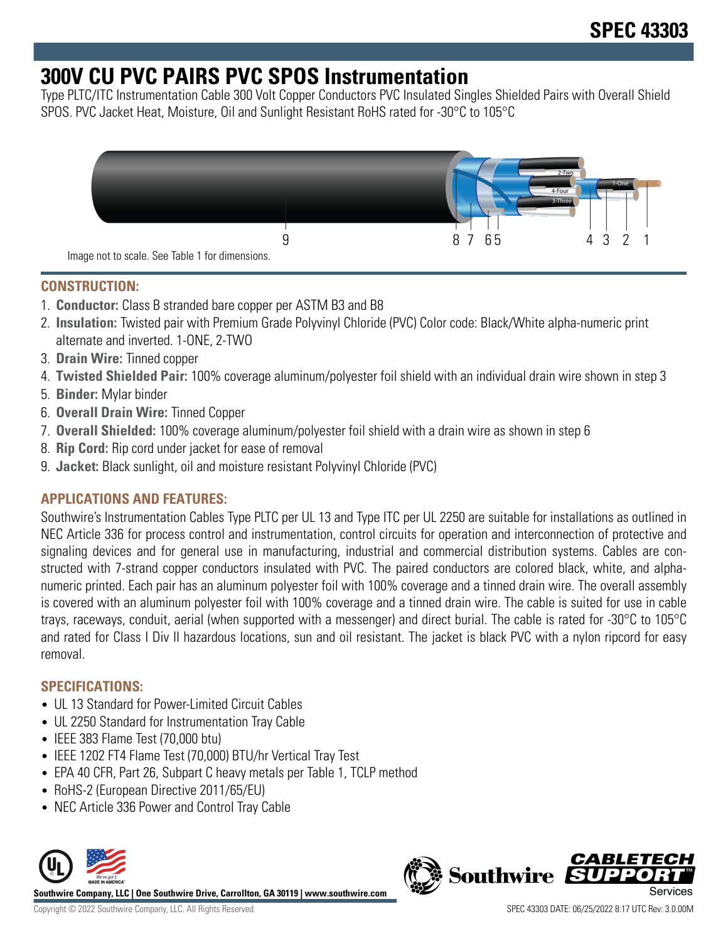## **300V CU PVC PAIRS PVC SPOS Instrumentation**

Type PLTC/ITC Instrumentation Cable 300 Volt Copper Conductors PVC Insulated Singles Shielded Pairs with Overall Shield SPOS. PVC Jacket Heat, Moisture, Oil and Sunlight Resistant RoHS rated for -30°C to 105°C



## **CONSTRUCTION:**

- 1. **Conductor:** Class B stranded bare copper per ASTM B3 and B8
- 2. **Insulation:** Twisted pair with Premium Grade Polyvinyl Chloride (PVC) Color code: Black/White alpha-numeric print alternate and inverted. 1-ONE, 2-TWO
- 3. **Drain Wire:** Tinned copper
- 4. **Twisted Shielded Pair:** 100% coverage aluminum/polyester foil shield with an individual drain wire shown in step 3
- 5. **Binder:** Mylar binder
- 6. **Overall Drain Wire:** Tinned Copper
- 7. **Overall Shielded:** 100% coverage aluminum/polyester foil shield with a drain wire as shown in step 6
- 8. **Rip Cord:** Rip cord under jacket for ease of removal
- 9. **Jacket:** Black sunlight, oil and moisture resistant Polyvinyl Chloride (PVC)

## **APPLICATIONS AND FEATURES:**

Southwire's Instrumentation Cables Type PLTC per UL 13 and Type ITC per UL 2250 are suitable for installations as outlined in NEC Article 336 for process control and instrumentation, control circuits for operation and interconnection of protective and signaling devices and for general use in manufacturing, industrial and commercial distribution systems. Cables are constructed with 7-strand copper conductors insulated with PVC. The paired conductors are colored black, white, and alphanumeric printed. Each pair has an aluminum polyester foil with 100% coverage and a tinned drain wire. The overall assembly is covered with an aluminum polyester foil with 100% coverage and a tinned drain wire. The cable is suited for use in cable trays, raceways, conduit, aerial (when supported with a messenger) and direct burial. The cable is rated for -30°C to 105°C and rated for Class I Div II hazardous locations, sun and oil resistant. The jacket is black PVC with a nylon ripcord for easy removal.

## **SPECIFICATIONS:**

- UL 13 Standard for Power-Limited Circuit Cables
- UL 2250 Standard for Instrumentation Tray Cable
- IEEE 383 Flame Test (70,000 btu)
- IEEE 1202 FT4 Flame Test (70,000) BTU/hr Vertical Tray Test
- EPA 40 CFR, Part 26, Subpart C heavy metals per Table 1, TCLP method
- RoHS-2 (European Directive 2011/65/EU)
- NEC Article 336 Power and Control Tray Cable



**Southwire Company, LLC | One Southwire Drive, Carrollton, GA 30119 | www.southwire.com**

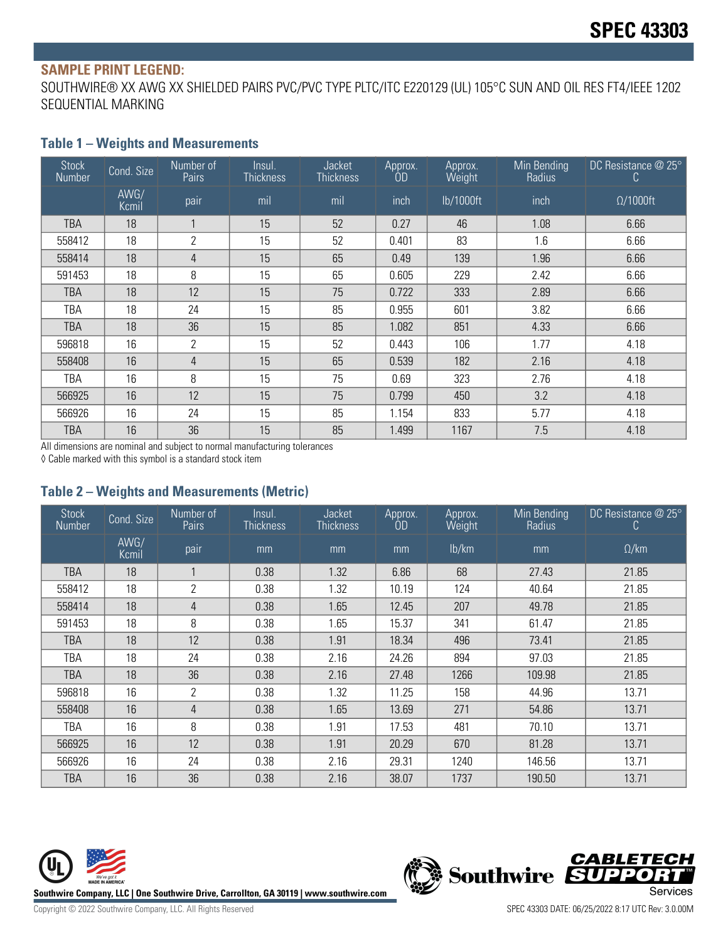#### **SAMPLE PRINT LEGEND:**

SOUTHWIRE® XX AWG XX SHIELDED PAIRS PVC/PVC TYPE PLTC/ITC E220129 (UL) 105°C SUN AND OIL RES FT4/IEEE 1202 SEQUENTIAL MARKING

#### **Table 1 – Weights and Measurements**

| <b>Stock</b><br>Number | Cond. Size    | Number of<br>Pairs | Insul.<br><b>Thickness</b> | <b>Jacket</b><br><b>Thickness</b> | Approx.<br>ÒD | Approx.<br>Weight | Min Bending<br>Radius | DC Resistance @ 25°<br>C |
|------------------------|---------------|--------------------|----------------------------|-----------------------------------|---------------|-------------------|-----------------------|--------------------------|
|                        | AWG/<br>Kcmil | pair               | mil                        | mil                               | inch          | lb/1000ft         | inch                  | $\Omega/1000$ ft         |
| TBA                    | 18            |                    | 15                         | 52                                | 0.27          | 46                | 1.08                  | 6.66                     |
| 558412                 | 18            | $\overline{2}$     | 15                         | 52                                | 0.401         | 83                | 1.6                   | 6.66                     |
| 558414                 | 18            | 4                  | 15                         | 65                                | 0.49          | 139               | 1.96                  | 6.66                     |
| 591453                 | 18            | 8                  | 15                         | 65                                | 0.605         | 229               | 2.42                  | 6.66                     |
| <b>TBA</b>             | 18            | 12                 | 15                         | 75                                | 0.722         | 333               | 2.89                  | 6.66                     |
| TBA                    | 18            | 24                 | 15                         | 85                                | 0.955         | 601               | 3.82                  | 6.66                     |
| <b>TBA</b>             | 18            | 36                 | 15                         | 85                                | 1.082         | 851               | 4.33                  | 6.66                     |
| 596818                 | 16            | $\overline{2}$     | 15                         | 52                                | 0.443         | 106               | 1.77                  | 4.18                     |
| 558408                 | 16            | $\overline{4}$     | 15                         | 65                                | 0.539         | 182               | 2.16                  | 4.18                     |
| TBA                    | 16            | 8                  | 15                         | 75                                | 0.69          | 323               | 2.76                  | 4.18                     |
| 566925                 | 16            | 12                 | 15                         | 75                                | 0.799         | 450               | 3.2                   | 4.18                     |
| 566926                 | 16            | 24                 | 15                         | 85                                | 1.154         | 833               | 5.77                  | 4.18                     |
| TBA                    | 16            | 36                 | 15                         | 85                                | 1.499         | 1167              | 7.5                   | 4.18                     |

All dimensions are nominal and subject to normal manufacturing tolerances

◊ Cable marked with this symbol is a standard stock item

#### **Table 2 – Weights and Measurements (Metric)**

| <b>Stock</b><br><b>Number</b> | Cond. Size    | Number of<br><b>Pairs</b> | Insul.<br><b>Thickness</b> | Jacket<br><b>Thickness</b> | Approx.<br>OD | Approx.<br>Weight | Min Bending<br>Radius | DC Resistance $@25°$<br>C |
|-------------------------------|---------------|---------------------------|----------------------------|----------------------------|---------------|-------------------|-----------------------|---------------------------|
|                               | AWG/<br>Kcmil | pair                      | mm                         | mm                         | mm            | lb/km             | mm                    | $\Omega$ /km              |
| TBA                           | 18            |                           | 0.38                       | 1.32                       | 6.86          | 68                | 27.43                 | 21.85                     |
| 558412                        | 18            | $\overline{2}$            | 0.38                       | 1.32                       | 10.19         | 124               | 40.64                 | 21.85                     |
| 558414                        | 18            | $\overline{4}$            | 0.38                       | 1.65                       | 12.45         | 207               | 49.78                 | 21.85                     |
| 591453                        | 18            | 8                         | 0.38                       | 1.65                       | 15.37         | 341               | 61.47                 | 21.85                     |
| TBA                           | 18            | 12                        | 0.38                       | 1.91                       | 18.34         | 496               | 73.41                 | 21.85                     |
| TBA                           | 18            | 24                        | 0.38                       | 2.16                       | 24.26         | 894               | 97.03                 | 21.85                     |
| <b>TBA</b>                    | 18            | 36                        | 0.38                       | 2.16                       | 27.48         | 1266              | 109.98                | 21.85                     |
| 596818                        | 16            | 2                         | 0.38                       | 1.32                       | 11.25         | 158               | 44.96                 | 13.71                     |
| 558408                        | 16            | 4                         | 0.38                       | 1.65                       | 13.69         | 271               | 54.86                 | 13.71                     |
| TBA                           | 16            | 8                         | 0.38                       | 1.91                       | 17.53         | 481               | 70.10                 | 13.71                     |
| 566925                        | 16            | 12                        | 0.38                       | 1.91                       | 20.29         | 670               | 81.28                 | 13.71                     |
| 566926                        | 16            | 24                        | 0.38                       | 2.16                       | 29.31         | 1240              | 146.56                | 13.71                     |
| TBA                           | 16            | 36                        | 0.38                       | 2.16                       | 38.07         | 1737              | 190.50                | 13.71                     |